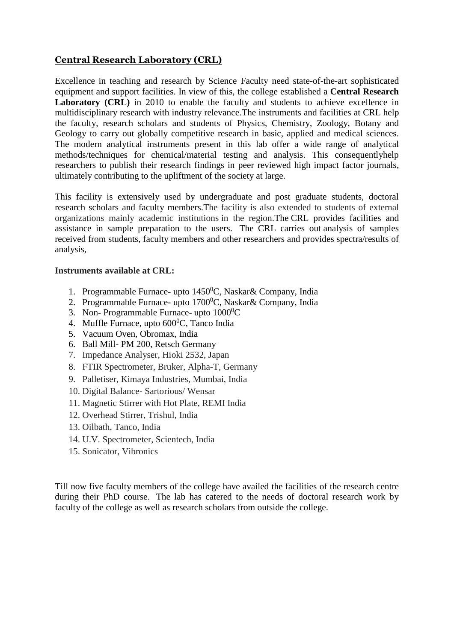## **Central Research Laboratory (CRL)**

Excellence in teaching and research by Science Faculty need state-of-the-art sophisticated equipment and support facilities. In view of this, the college established a **Central Research**  Laboratory **(CRL)** in 2010 to enable the faculty and students to achieve excellence in multidisciplinary research with industry relevance.The instruments and facilities at CRL help the faculty, research scholars and students of Physics, Chemistry, Zoology, Botany and Geology to carry out globally competitive research in basic, applied and medical sciences. The modern analytical instruments present in this lab offer a wide range of analytical methods/techniques for chemical/material testing and analysis. This consequentlyhelp researchers to publish their research findings in peer reviewed high impact factor journals, ultimately contributing to the upliftment of the society at large.

This facility is extensively used by undergraduate and post graduate students, doctoral research scholars and faculty members.The facility is also extended to students of external organizations mainly academic institutions in the region.The CRL provides facilities and assistance in sample preparation to the users. The CRL carries out analysis of samples received from students, faculty members and other researchers and provides spectra/results of analysis,

## **Instruments available at CRL:**

- 1. Programmable Furnace- upto  $1450^{\circ}$ C, Naskar& Company, India
- 2. Programmable Furnace- upto  $1700^{\circ}$ C, Naskar $\&$  Company, India
- 3. Non- Programmable Furnace- upto  $1000^{\circ}$ C
- 4. Muffle Furnace, upto  $600^{\circ}$ C, Tanco India
- 5. Vacuum Oven, Obromax, India
- 6. Ball Mill- PM 200, Retsch Germany
- 7. Impedance Analyser, Hioki 2532, Japan
- 8. FTIR Spectrometer, Bruker, Alpha-T, Germany
- 9. Palletiser, Kimaya Industries, Mumbai, India
- 10. Digital Balance- Sartorious/ Wensar
- 11. Magnetic Stirrer with Hot Plate, REMI India
- 12. Overhead Stirrer, Trishul, India
- 13. Oilbath, Tanco, India
- 14. U.V. Spectrometer, Scientech, India
- 15. Sonicator, Vibronics

Till now five faculty members of the college have availed the facilities of the research centre during their PhD course. The lab has catered to the needs of doctoral research work by faculty of the college as well as research scholars from outside the college.